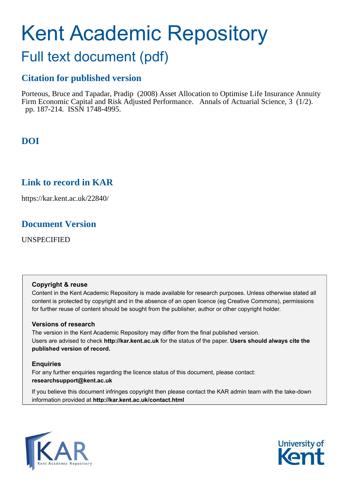# Kent Academic Repository

## Full text document (pdf)

## **Citation for published version**

Porteous, Bruce and Tapadar, Pradip (2008) Asset Allocation to Optimise Life Insurance Annuity Firm Economic Capital and Risk Adjusted Performance. Annals of Actuarial Science, 3 (1/2). pp. 187-214. ISSN 1748-4995.

## **DOI**

## **Link to record in KAR**

https://kar.kent.ac.uk/22840/

### **Document Version**

UNSPECIFIED

#### **Copyright & reuse**

Content in the Kent Academic Repository is made available for research purposes. Unless otherwise stated all content is protected by copyright and in the absence of an open licence (eg Creative Commons), permissions for further reuse of content should be sought from the publisher, author or other copyright holder.

#### **Versions of research**

The version in the Kent Academic Repository may differ from the final published version. Users are advised to check **http://kar.kent.ac.uk** for the status of the paper. **Users should always cite the published version of record.**

#### **Enquiries**

For any further enquiries regarding the licence status of this document, please contact: **researchsupport@kent.ac.uk**

If you believe this document infringes copyright then please contact the KAR admin team with the take-down information provided at **http://kar.kent.ac.uk/contact.html**



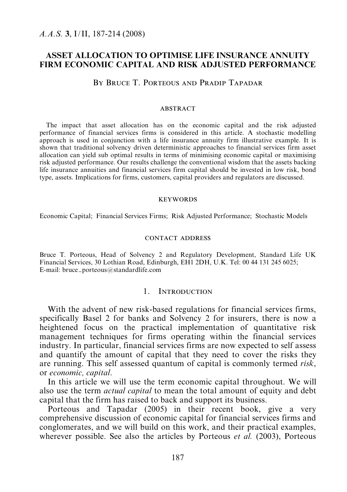#### ASSET ALLOCATION TO OPTIMISE LIFE INSURANCE ANNUITY FIRM ECONOMIC CAPITAL AND RISK ADJUSTED PERFORMANCE

By Bruce T. Porteous and Pradip Tapadar

#### **ABSTRACT**

The impact that asset allocation has on the economic capital and the risk adjusted performance of financial services firms is considered in this article. A stochastic modelling approach is used in conjunction with a life insurance annuity firm illustrative example. It is shown that traditional solvency driven deterministic approaches to financial services firm asset allocation can yield sub optimal results in terms of minimising economic capital or maximising risk adjusted performance. Our results challenge the conventional wisdom that the assets backing life insurance annuities and financial services firm capital should be invested in low risk, bond type, assets. Implications for firms, customers, capital providers and regulators are discussed.

#### **KEYWORDS**

Economic Capital; Financial Services Firms; Risk Adjusted Performance; Stochastic Models

#### contact address

Bruce T. Porteous, Head of Solvency 2 and Regulatory Development, Standard Life UK Financial Services, 30 Lothian Road, Edinburgh, EH1 2DH, U.K. Tel: 00 44 131 245 6025; E-mail: bruce\_porteous@standardlife.com

#### 1. INTRODUCTION

With the advent of new risk-based regulations for financial services firms, specifically Basel 2 for banks and Solvency 2 for insurers, there is now a heightened focus on the practical implementation of quantitative risk management techniques for firms operating within the financial services industry. In particular, financial services firms are now expected to self assess and quantify the amount of capital that they need to cover the risks they are running. This self assessed quantum of capital is commonly termed risk, or economic, capital.

In this article we will use the term economic capital throughout. We will also use the term *actual capital* to mean the total amount of equity and debt capital that the firm has raised to back and support its business.

Porteous and Tapadar (2005) in their recent book, give a very comprehensive discussion of economic capital for financial services firms and conglomerates, and we will build on this work, and their practical examples, wherever possible. See also the articles by Porteous *et al.* (2003), Porteous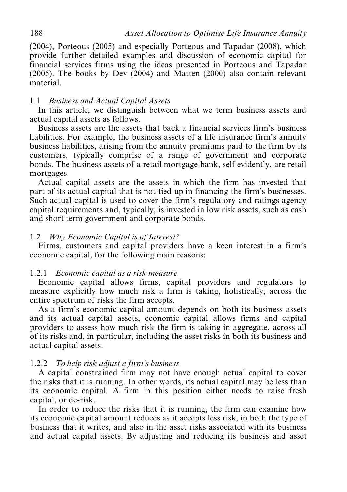(2004), Porteous (2005) and especially Porteous and Tapadar (2008), which provide further detailed examples and discussion of economic capital for financial services firms using the ideas presented in Porteous and Tapadar (2005). The books by Dev  $(2004)$  and Matten (2000) also contain relevant material.

#### 1.1 Business and Actual Capital Assets

In this article, we distinguish between what we term business assets and actual capital assets as follows.

Business assets are the assets that back a financial services firm's business liabilities. For example, the business assets of a life insurance firm's annuity business liabilities, arising from the annuity premiums paid to the firm by its customers, typically comprise of a range of government and corporate bonds. The business assets of a retail mortgage bank, self evidently, are retail mortgages

Actual capital assets are the assets in which the firm has invested that part of its actual capital that is not tied up in financing the firm's businesses. Such actual capital is used to cover the firm's regulatory and ratings agency capital requirements and, typically, is invested in low risk assets, such as cash and short term government and corporate bonds.

#### 1.2 Why Economic Capital is of Interest?

Firms, customers and capital providers have a keen interest in a firm's economic capital, for the following main reasons:

#### 1.2.1 Economic capital as a risk measure

Economic capital allows firms, capital providers and regulators to measure explicitly how much risk a firm is taking, holistically, across the entire spectrum of risks the firm accepts.

As a firm's economic capital amount depends on both its business assets and its actual capital assets, economic capital allows firms and capital providers to assess how much risk the firm is taking in aggregate, across all of its risks and, in particular, including the asset risks in both its business and actual capital assets.

#### 1.2.2 To help risk adjust a firm's business

A capital constrained firm may not have enough actual capital to cover the risks that it is running. In other words, its actual capital may be less than its economic capital. A firm in this position either needs to raise fresh capital, or de-risk.

In order to reduce the risks that it is running, the firm can examine how its economic capital amount reduces as it accepts less risk, in both the type of business that it writes, and also in the asset risks associated with its business and actual capital assets. By adjusting and reducing its business and asset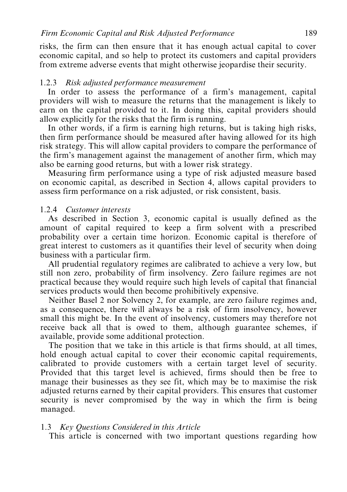risks, the firm can then ensure that it has enough actual capital to cover economic capital, and so help to protect its customers and capital providers from extreme adverse events that might otherwise jeopardise their security.

#### 1.2.3 Risk adjusted performance measurement

In order to assess the performance of a firm's management, capital providers will wish to measure the returns that the management is likely to earn on the capital provided to it. In doing this, capital providers should allow explicitly for the risks that the firm is running.

In other words, if a firm is earning high returns, but is taking high risks, then firm performance should be measured after having allowed for its high risk strategy. This will allow capital providers to compare the performance of the firm's management against the management of another firm, which may also be earning good returns, but with a lower risk strategy.

Measuring firm performance using a type of risk adjusted measure based on economic capital, as described in Section 4, allows capital providers to assess firm performance on a risk adjusted, or risk consistent, basis.

#### 1.2.4 Customer interests

As described in Section 3, economic capital is usually defined as the amount of capital required to keep a firm solvent with a prescribed probability over a certain time horizon. Economic capital is therefore of great interest to customers as it quantifies their level of security when doing business with a particular firm.

All prudential regulatory regimes are calibrated to achieve a very low, but still non zero, probability of firm insolvency. Zero failure regimes are not practical because they would require such high levels of capital that financial services products would then become prohibitively expensive.

Neither Basel 2 nor Solvency 2, for example, are zero failure regimes and, as a consequence, there will always be a risk of firm insolvency, however small this might be. In the event of insolvency, customers may therefore not receive back all that is owed to them, although guarantee schemes, if available, provide some additional protection.

The position that we take in this article is that firms should, at all times, hold enough actual capital to cover their economic capital requirements, calibrated to provide customers with a certain target level of security. Provided that this target level is achieved, firms should then be free to manage their businesses as they see fit, which may be to maximise the risk adjusted returns earned by their capital providers. This ensures that customer security is never compromised by the way in which the firm is being managed.

#### 1.3 Key Questions Considered in this Article

This article is concerned with two important questions regarding how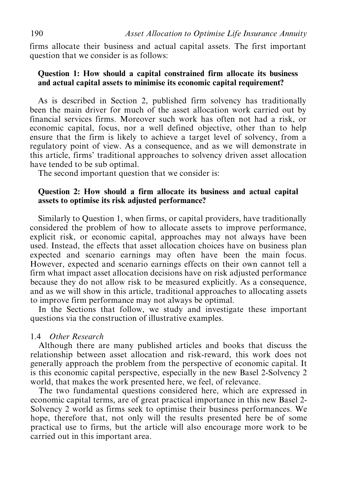firms allocate their business and actual capital assets. The first important question that we consider is as follows:

#### Question 1: How should a capital constrained firm allocate its business and actual capital assets to minimise its economic capital requirement?

As is described in Section 2, published firm solvency has traditionally been the main driver for much of the asset allocation work carried out by financial services firms. Moreover such work has often not had a risk, or economic capital, focus, nor a well defined objective, other than to help ensure that the firm is likely to achieve a target level of solvency, from a regulatory point of view. As a consequence, and as we will demonstrate in this article, firms' traditional approaches to solvency driven asset allocation have tended to be sub optimal.

The second important question that we consider is:

#### Question 2: How should a firm allocate its business and actual capital assets to optimise its risk adjusted performance?

Similarly to Question 1, when firms, or capital providers, have traditionally considered the problem of how to allocate assets to improve performance, explicit risk, or economic capital, approaches may not always have been used. Instead, the effects that asset allocation choices have on business plan expected and scenario earnings may often have been the main focus. However, expected and scenario earnings effects on their own cannot tell a firm what impact asset allocation decisions have on risk adjusted performance because they do not allow risk to be measured explicitly. As a consequence, and as we will show in this article, traditional approaches to allocating assets to improve firm performance may not always be optimal.

In the Sections that follow, we study and investigate these important questions via the construction of illustrative examples.

#### 1.4 Other Research

Although there are many published articles and books that discuss the relationship between asset allocation and risk-reward, this work does not generally approach the problem from the perspective of economic capital. It is this economic capital perspective, especially in the new Basel 2-Solvency 2 world, that makes the work presented here, we feel, of relevance.

The two fundamental questions considered here, which are expressed in economic capital terms, are of great practical importance in this new Basel 2- Solvency 2 world as firms seek to optimise their business performances. We hope, therefore that, not only will the results presented here be of some practical use to firms, but the article will also encourage more work to be carried out in this important area.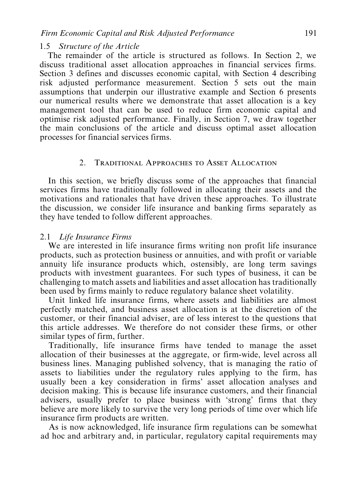#### Firm Economic Capital and Risk Adjusted Performance 191

#### 1.5 Structure of the Article

The remainder of the article is structured as follows. In Section 2, we discuss traditional asset allocation approaches in financial services firms. Section 3 defines and discusses economic capital, with Section 4 describing risk adjusted performance measurement. Section 5 sets out the main assumptions that underpin our illustrative example and Section 6 presents our numerical results where we demonstrate that asset allocation is a key management tool that can be used to reduce firm economic capital and optimise risk adjusted performance. Finally, in Section 7, we draw together the main conclusions of the article and discuss optimal asset allocation processes for financial services firms.

#### 2. TRADITIONAL APPROACHES TO ASSET ALLOCATION

In this section, we briefly discuss some of the approaches that financial services firms have traditionally followed in allocating their assets and the motivations and rationales that have driven these approaches. To illustrate the discussion, we consider life insurance and banking firms separately as they have tended to follow different approaches.

#### 2.1 Life Insurance Firms

We are interested in life insurance firms writing non profit life insurance products, such as protection business or annuities, and with profit or variable annuity life insurance products which, ostensibly, are long term savings products with investment guarantees. For such types of business, it can be challenging to match assets and liabilities and asset allocation has traditionally been used by firms mainly to reduce regulatory balance sheet volatility.

Unit linked life insurance firms, where assets and liabilities are almost perfectly matched, and business asset allocation is at the discretion of the customer, or their financial adviser, are of less interest to the questions that this article addresses. We therefore do not consider these firms, or other similar types of firm, further.

Traditionally, life insurance firms have tended to manage the asset allocation of their businesses at the aggregate, or firm-wide, level across all business lines. Managing published solvency, that is managing the ratio of assets to liabilities under the regulatory rules applying to the firm, has usually been a key consideration in firms' asset allocation analyses and decision making. This is because life insurance customers, and their financial advisers, usually prefer to place business with 'strong' firms that they believe are more likely to survive the very long periods of time over which life insurance firm products are written.

As is now acknowledged, life insurance firm regulations can be somewhat ad hoc and arbitrary and, in particular, regulatory capital requirements may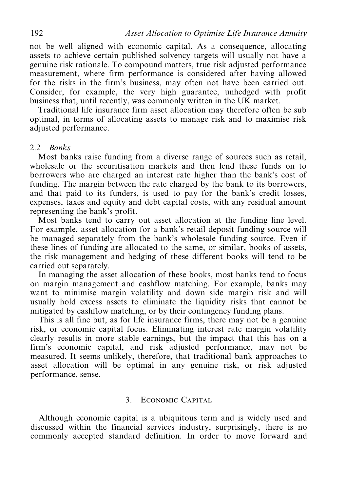not be well aligned with economic capital. As a consequence, allocating assets to achieve certain published solvency targets will usually not have a genuine risk rationale. To compound matters, true risk adjusted performance measurement, where firm performance is considered after having allowed for the risks in the firm's business, may often not have been carried out. Consider, for example, the very high guarantee, unhedged with profit business that, until recently, was commonly written in the UK market.

Traditional life insurance firm asset allocation may therefore often be sub optimal, in terms of allocating assets to manage risk and to maximise risk adjusted performance.

#### 2.2 Banks

Most banks raise funding from a diverse range of sources such as retail, wholesale or the securitisation markets and then lend these funds on to borrowers who are charged an interest rate higher than the bank's cost of funding. The margin between the rate charged by the bank to its borrowers, and that paid to its funders, is used to pay for the bank's credit losses, expenses, taxes and equity and debt capital costs, with any residual amount representing the bank's profit.

Most banks tend to carry out asset allocation at the funding line level. For example, asset allocation for a bank's retail deposit funding source will be managed separately from the bank's wholesale funding source. Even if these lines of funding are allocated to the same, or similar, books of assets, the risk management and hedging of these different books will tend to be carried out separately.

In managing the asset allocation of these books, most banks tend to focus on margin management and cashflow matching. For example, banks may want to minimise margin volatility and down side margin risk and will usually hold excess assets to eliminate the liquidity risks that cannot be mitigated by cashflow matching, or by their contingency funding plans.

This is all fine but, as for life insurance firms, there may not be a genuine risk, or economic capital focus. Eliminating interest rate margin volatility clearly results in more stable earnings, but the impact that this has on a firm's economic capital, and risk adjusted performance, may not be measured. It seems unlikely, therefore, that traditional bank approaches to asset allocation will be optimal in any genuine risk, or risk adjusted performance, sense.

#### â. Economic Capital

Although economic capital is a ubiquitous term and is widely used and discussed within the financial services industry, surprisingly, there is no commonly accepted standard definition. In order to move forward and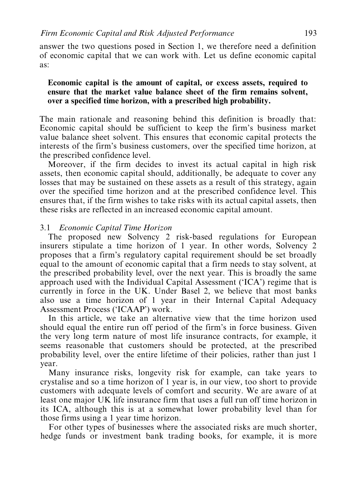answer the two questions posed in Section 1, we therefore need a definition of economic capital that we can work with. Let us define economic capital as:

#### Economic capital is the amount of capital, or excess assets, required to ensure that the market value balance sheet of the firm remains solvent, over a specified time horizon, with a prescribed high probability.

The main rationale and reasoning behind this definition is broadly that: Economic capital should be sufficient to keep the firm's business market value balance sheet solvent. This ensures that economic capital protects the interests of the firm's business customers, over the specified time horizon, at the prescribed confidence level.

Moreover, if the firm decides to invest its actual capital in high risk assets, then economic capital should, additionally, be adequate to cover any losses that may be sustained on these assets as a result of this strategy, again over the specified time horizon and at the prescribed confidence level. This ensures that, if the firm wishes to take risks with its actual capital assets, then these risks are reflected in an increased economic capital amount.

#### 3.1 Economic Capital Time Horizon

The proposed new Solvency 2 risk-based regulations for European insurers stipulate a time horizon of 1 year. In other words, Solvency 2 proposes that a firm's regulatory capital requirement should be set broadly equal to the amount of economic capital that a firm needs to stay solvent, at the prescribed probability level, over the next year. This is broadly the same approach used with the Individual Capital Assessment ('ICA') regime that is currently in force in the UK. Under Basel 2, we believe that most banks also use a time horizon of 1 year in their Internal Capital Adequacy Assessment Process ('ICAAP') work.

In this article, we take an alternative view that the time horizon used should equal the entire run off period of the firm's in force business. Given the very long term nature of most life insurance contracts, for example, it seems reasonable that customers should be protected, at the prescribed probability level, over the entire lifetime of their policies, rather than just 1 year.

Many insurance risks, longevity risk for example, can take years to crystalise and so a time horizon of 1 year is, in our view, too short to provide customers with adequate levels of comfort and security. We are aware of at least one major UK life insurance firm that uses a full run off time horizon in its ICA, although this is at a somewhat lower probability level than for those firms using a 1 year time horizon.

For other types of businesses where the associated risks are much shorter, hedge funds or investment bank trading books, for example, it is more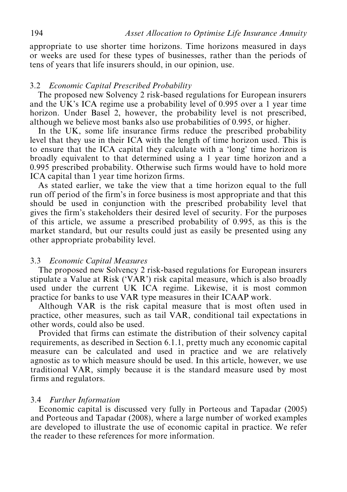appropriate to use shorter time horizons. Time horizons measured in days or weeks are used for these types of businesses, rather than the periods of tens of years that life insurers should, in our opinion, use.

#### 3.2 Economic Capital Prescribed Probability

The proposed new Solvency 2 risk-based regulations for European insurers and the UK's ICA regime use a probability level of 0.995 over a 1 year time horizon. Under Basel 2, however, the probability level is not prescribed, although we believe most banks also use probabilities of 0.995, or higher.

In the UK, some life insurance firms reduce the prescribed probability level that they use in their ICA with the length of time horizon used. This is to ensure that the ICA capital they calculate with a 'long' time horizon is broadly equivalent to that determined using a 1 year time horizon and a 0.995 prescribed probability. Otherwise such firms would have to hold more ICA capital than 1 year time horizon firms.

As stated earlier, we take the view that a time horizon equal to the full run off period of the firm's in force business is most appropriate and that this should be used in conjunction with the prescribed probability level that gives the firm's stakeholders their desired level of security. For the purposes of this article, we assume a prescribed probability of 0.995, as this is the market standard, but our results could just as easily be presented using any other appropriate probability level.

#### 3.3 Economic Capital Measures

The proposed new Solvency 2 risk-based regulations for European insurers stipulate a Value at Risk ('VAR') risk capital measure, which is also broadly used under the current UK ICA regime. Likewise, it is most common practice for banks to use VAR type measures in their ICAAP work.

Although VAR is the risk capital measure that is most often used in practice, other measures, such as tail VAR, conditional tail expectations in other words, could also be used.

Provided that firms can estimate the distribution of their solvency capital requirements, as described in Section 6.1.1, pretty much any economic capital measure can be calculated and used in practice and we are relatively agnostic as to which measure should be used. In this article, however, we use traditional VAR, simply because it is the standard measure used by most firms and regulators.

#### 3.4 Further Information

Economic capital is discussed very fully in Porteous and Tapadar (2005) and Porteous and Tapadar (2008), where a large number of worked examples are developed to illustrate the use of economic capital in practice. We refer the reader to these references for more information.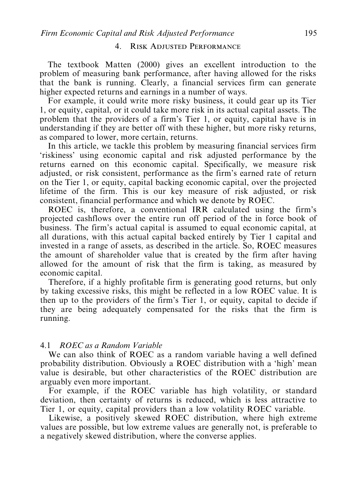#### 4. RISK ADJUSTED PERFORMANCE

The textbook Matten (2000) gives an excellent introduction to the problem of measuring bank performance, after having allowed for the risks that the bank is running. Clearly, a financial services firm can generate higher expected returns and earnings in a number of ways.

For example, it could write more risky business, it could gear up its Tier 1, or equity, capital, or it could take more risk in its actual capital assets. The problem that the providers of a firm's Tier 1, or equity, capital have is in understanding if they are better off with these higher, but more risky returns, as compared to lower, more certain, returns.

In this article, we tackle this problem by measuring financial services firm 'riskiness' using economic capital and risk adjusted performance by the returns earned on this economic capital. Specifically, we measure risk adjusted, or risk consistent, performance as the firm's earned rate of return on the Tier 1, or equity, capital backing economic capital, over the projected lifetime of the firm. This is our key measure of risk adjusted, or risk consistent, financial performance and which we denote by ROEC.

ROEC is, therefore, a conventional IRR calculated using the firm's projected cashflows over the entire run off period of the in force book of business. The firm's actual capital is assumed to equal economic capital, at all durations, with this actual capital backed entirely by Tier 1 capital and invested in a range of assets, as described in the article. So, ROEC measures the amount of shareholder value that is created by the firm after having allowed for the amount of risk that the firm is taking, as measured by economic capital.

Therefore, if a highly profitable firm is generating good returns, but only by taking excessive risks, this might be reflected in a low ROEC value. It is then up to the providers of the firm's Tier 1, or equity, capital to decide if they are being adequately compensated for the risks that the firm is running.

#### 4.1 ROEC as a Random Variable

We can also think of ROEC as a random variable having a well defined probability distribution. Obviously a ROEC distribution with a 'high' mean value is desirable, but other characteristics of the ROEC distribution are arguably even more important.

For example, if the ROEC variable has high volatility, or standard deviation, then certainty of returns is reduced, which is less attractive to Tier 1, or equity, capital providers than a low volatility ROEC variable.

Likewise, a positively skewed ROEC distribution, where high extreme values are possible, but low extreme values are generally not, is preferable to a negatively skewed distribution, where the converse applies.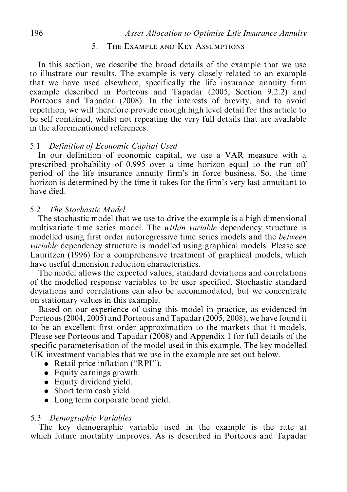#### ä. The Example and Key Assumptions

In this section, we describe the broad details of the example that we use to illustrate our results. The example is very closely related to an example that we have used elsewhere, specifically the life insurance annuity firm example described in Porteous and Tapadar (2005, Section 9.2.2) and Porteous and Tapadar (2008). In the interests of brevity, and to avoid repetition, we will therefore provide enough high level detail for this article to be self contained, whilst not repeating the very full details that are available in the aforementioned references.

#### 5.1 Definition of Economic Capital Used

In our definition of economic capital, we use a VAR measure with a prescribed probability of 0.995 over a time horizon equal to the run off period of the life insurance annuity firm's in force business. So, the time horizon is determined by the time it takes for the firm's very last annuitant to have died.

#### 5.2 The Stochastic Model

The stochastic model that we use to drive the example is a high dimensional multivariate time series model. The *within variable* dependency structure is modelled using first order autoregressive time series models and the *between* variable dependency structure is modelled using graphical models. Please see Lauritzen (1996) for a comprehensive treatment of graphical models, which have useful dimension reduction characteristics.

The model allows the expected values, standard deviations and correlations of the modelled response variables to be user specified. Stochastic standard deviations and correlations can also be accommodated, but we concentrate on stationary values in this example.

Based on our experience of using this model in practice, as evidenced in Porteous (2004, 2005) and Porteous and Tapadar (2005, 2008), we have found it to be an excellent first order approximation to the markets that it models. Please see Porteous and Tapadar (2008) and Appendix 1 for full details of the specific parameterisation of the model used in this example. The key modelled UK investment variables that we use in the example are set out below.

- . Retail price inflation ("RPI'').
- . Equity earnings growth.
- Equity dividend yield.
- Short term cash yield.
- Long term corporate bond yield.

#### 5.3 Demographic Variables

The key demographic variable used in the example is the rate at which future mortality improves. As is described in Porteous and Tapadar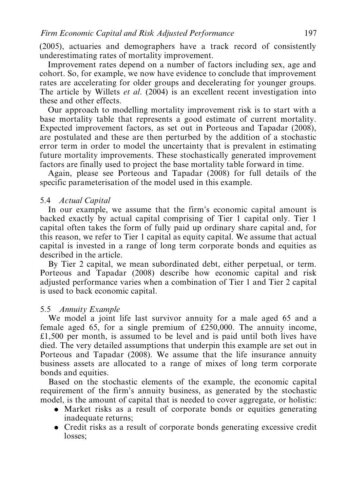(2005), actuaries and demographers have a track record of consistently underestimating rates of mortality improvement.

Improvement rates depend on a number of factors including sex, age and cohort. So, for example, we now have evidence to conclude that improvement rates are accelerating for older groups and decelerating for younger groups. The article by Willets et al. (2004) is an excellent recent investigation into these and other effects.

Our approach to modelling mortality improvement risk is to start with a base mortality table that represents a good estimate of current mortality. Expected improvement factors, as set out in Porteous and Tapadar (2008), are postulated and these are then perturbed by the addition of a stochastic error term in order to model the uncertainty that is prevalent in estimating future mortality improvements. These stochastically generated improvement factors are finally used to project the base mortality table forward in time.

Again, please see Porteous and Tapadar (2008) for full details of the specific parameterisation of the model used in this example.

#### 5.4 Actual Capital

In our example, we assume that the firm's economic capital amount is backed exactly by actual capital comprising of Tier 1 capital only. Tier 1 capital often takes the form of fully paid up ordinary share capital and, for this reason, we refer to Tier 1 capital as equity capital. We assume that actual capital is invested in a range of long term corporate bonds and equities as described in the article.

By Tier 2 capital, we mean subordinated debt, either perpetual, or term. Porteous and Tapadar (2008) describe how economic capital and risk adjusted performance varies when a combination of Tier 1 and Tier 2 capital is used to back economic capital.

#### 5.5 Annuity Example

We model a joint life last survivor annuity for a male aged 65 and a female aged 65, for a single premium of  $£250,000$ . The annuity income,  $\pounds1,500$  per month, is assumed to be level and is paid until both lives have died. The very detailed assumptions that underpin this example are set out in Porteous and Tapadar (2008). We assume that the life insurance annuity business assets are allocated to a range of mixes of long term corporate bonds and equities.

Based on the stochastic elements of the example, the economic capital requirement of the firm's annuity business, as generated by the stochastic model, is the amount of capital that is needed to cover aggregate, or holistic:

- . Market risks as a result of corporate bonds or equities generating inadequate returns;
- . Credit risks as a result of corporate bonds generating excessive credit losses;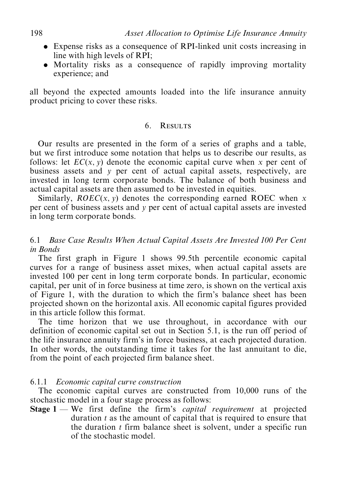- . Expense risks as a consequence of RPI-linked unit costs increasing in line with high levels of RPI;
- . Mortality risks as a consequence of rapidly improving mortality experience; and

all beyond the expected amounts loaded into the life insurance annuity product pricing to cover these risks.

#### å. Results

Our results are presented in the form of a series of graphs and a table, but we first introduce some notation that helps us to describe our results, as follows: let  $EC(x, y)$  denote the economic capital curve when x per cent of business assets and  $v$  per cent of actual capital assets, respectively, are invested in long term corporate bonds. The balance of both business and actual capital assets are then assumed to be invested in equities.

Similarly,  $ROEC(x, y)$  denotes the corresponding earned ROEC when x per cent of business assets and  $\nu$  per cent of actual capital assets are invested in long term corporate bonds.

#### 6.1 Base Case Results When Actual Capital Assets Are Invested 100 Per Cent in Bonds

The first graph in Figure 1 shows 99.5th percentile economic capital curves for a range of business asset mixes, when actual capital assets are invested 100 per cent in long term corporate bonds. In particular, economic capital, per unit of in force business at time zero, is shown on the vertical axis of Figure 1, with the duration to which the firm's balance sheet has been projected shown on the horizontal axis. All economic capital figures provided in this article follow this format.

The time horizon that we use throughout, in accordance with our definition of economic capital set out in Section 5.1, is the run off period of the life insurance annuity firm's in force business, at each projected duration. In other words, the outstanding time it takes for the last annuitant to die, from the point of each projected firm balance sheet.

#### 6.1.1 Economic capital curve construction

The economic capital curves are constructed from 10,000 runs of the stochastic model in a four stage process as follows:

**Stage 1** — We first define the firm's *capital requirement* at projected duration  $t$  as the amount of capital that is required to ensure that the duration  $t$  firm balance sheet is solvent, under a specific run of the stochastic model.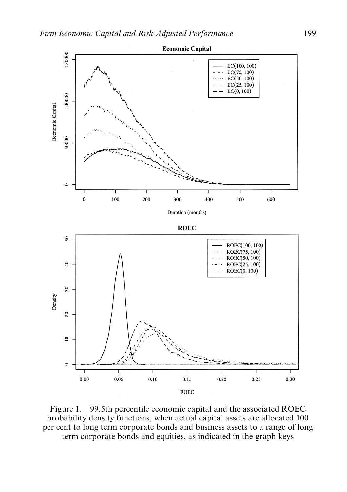

Figure 1. 99.5th percentile economic capital and the associated ROEC probability density functions, when actual capital assets are allocated 100 per cent to long term corporate bonds and business assets to a range of long term corporate bonds and equities, as indicated in the graph keys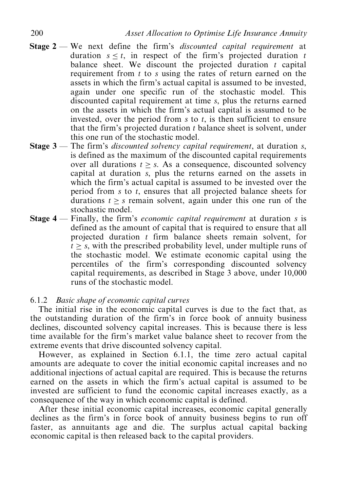- **Stage 2** We next define the firm's *discounted capital requirement* at duration  $s \leq t$ , in respect of the firm's projected duration t balance sheet. We discount the projected duration  $t$  capital requirement from t to s using the rates of return earned on the assets in which the firm's actual capital is assumed to be invested, again under one specific run of the stochastic model. This discounted capital requirement at time s, plus the returns earned on the assets in which the firm's actual capital is assumed to be invested, over the period from s to t, is then sufficient to ensure that the firm's projected duration  $t$  balance sheet is solvent, under this one run of the stochastic model.
- **Stage 3**  $\equiv$  The firm's *discounted solvency capital requirement*, at duration s, is defined as the maximum of the discounted capital requirements over all durations  $t > s$ . As a consequence, discounted solvency capital at duration s, plus the returns earned on the assets in which the firm's actual capital is assumed to be invested over the period from s to t, ensures that all projected balance sheets for durations  $t > s$  remain solvent, again under this one run of the stochastic model.
- **Stage 4**  $\equiv$  Finally, the firm's *economic capital requirement* at duration s is defined as the amount of capital that is required to ensure that all projected duration t firm balance sheets remain solvent, for  $t > s$ , with the prescribed probability level, under multiple runs of the stochastic model. We estimate economic capital using the percentiles of the firm's corresponding discounted solvency capital requirements, as described in Stage 3 above, under 10,000 runs of the stochastic model.

#### 6.1.2 Basic shape of economic capital curves

The initial rise in the economic capital curves is due to the fact that, as the outstanding duration of the firm's in force book of annuity business declines, discounted solvency capital increases. This is because there is less time available for the firm's market value balance sheet to recover from the extreme events that drive discounted solvency capital.

However, as explained in Section 6.1.1, the time zero actual capital amounts are adequate to cover the initial economic capital increases and no additional injections of actual capital are required. This is because the returns earned on the assets in which the firm's actual capital is assumed to be invested are sufficient to fund the economic capital increases exactly, as a consequence of the way in which economic capital is defined.

After these initial economic capital increases, economic capital generally declines as the firm's in force book of annuity business begins to run off faster, as annuitants age and die. The surplus actual capital backing economic capital is then released back to the capital providers.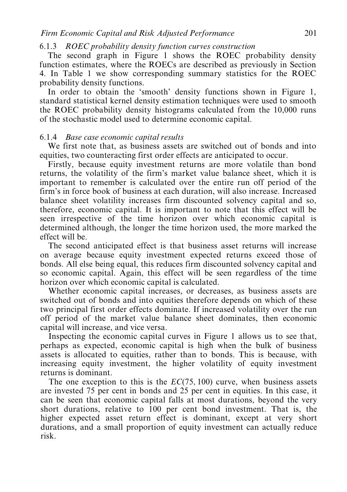#### 6.1.3 ROEC probability density function curves construction

The second graph in Figure 1 shows the ROEC probability density function estimates, where the ROECs are described as previously in Section 4. In Table 1 we show corresponding summary statistics for the ROEC probability density functions.

In order to obtain the 'smooth' density functions shown in Figure 1, standard statistical kernel density estimation techniques were used to smooth the ROEC probability density histograms calculated from the 10,000 runs of the stochastic model used to determine economic capital.

#### 6.1.4 Base case economic capital results

We first note that, as business assets are switched out of bonds and into equities, two counteracting first order effects are anticipated to occur.

Firstly, because equity investment returns are more volatile than bond returns, the volatility of the firm's market value balance sheet, which it is important to remember is calculated over the entire run off period of the firm's in force book of business at each duration, will also increase. Increased balance sheet volatility increases firm discounted solvency capital and so, therefore, economic capital. It is important to note that this effect will be seen irrespective of the time horizon over which economic capital is determined although, the longer the time horizon used, the more marked the effect will be.

The second anticipated effect is that business asset returns will increase on average because equity investment expected returns exceed those of bonds. All else being equal, this reduces firm discounted solvency capital and so economic capital. Again, this effect will be seen regardless of the time horizon over which economic capital is calculated.

Whether economic capital increases, or decreases, as business assets are switched out of bonds and into equities therefore depends on which of these two principal first order effects dominate. If increased volatility over the run off period of the market value balance sheet dominates, then economic capital will increase, and vice versa.

Inspecting the economic capital curves in Figure 1 allows us to see that, perhaps as expected, economic capital is high when the bulk of business assets is allocated to equities, rather than to bonds. This is because, with increasing equity investment, the higher volatility of equity investment returns is dominant.

The one exception to this is the  $EC(75, 100)$  curve, when business assets are invested 75 per cent in bonds and 25 per cent in equities. In this case, it can be seen that economic capital falls at most durations, beyond the very short durations, relative to 100 per cent bond investment. That is, the higher expected asset return effect is dominant, except at very short durations, and a small proportion of equity investment can actually reduce risk.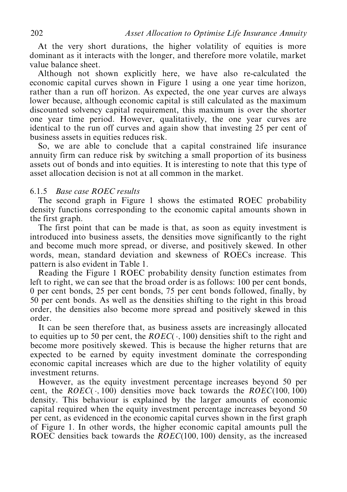At the very short durations, the higher volatility of equities is more dominant as it interacts with the longer, and therefore more volatile, market value balance sheet.

Although not shown explicitly here, we have also re-calculated the economic capital curves shown in Figure 1 using a one year time horizon, rather than a run off horizon. As expected, the one year curves are always lower because, although economic capital is still calculated as the maximum discounted solvency capital requirement, this maximum is over the shorter one year time period. However, qualitatively, the one year curves are identical to the run off curves and again show that investing 25 per cent of business assets in equities reduces risk.

So, we are able to conclude that a capital constrained life insurance annuity firm can reduce risk by switching a small proportion of its business assets out of bonds and into equities. It is interesting to note that this type of asset allocation decision is not at all common in the market.

#### 6.1.5 Base case ROEC results

The second graph in Figure 1 shows the estimated ROEC probability density functions corresponding to the economic capital amounts shown in the first graph.

The first point that can be made is that, as soon as equity investment is introduced into business assets, the densities move significantly to the right and become much more spread, or diverse, and positively skewed. In other words, mean, standard deviation and skewness of ROECs increase. This pattern is also evident in Table 1.

Reading the Figure 1 ROEC probability density function estimates from left to right, we can see that the broad order is as follows: 100 per cent bonds, 0 per cent bonds, 25 per cent bonds, 75 per cent bonds followed, finally, by 50 per cent bonds. As well as the densities shifting to the right in this broad order, the densities also become more spread and positively skewed in this order.

It can be seen therefore that, as business assets are increasingly allocated to equities up to 50 per cent, the  $ROEC(\cdot, 100)$  densities shift to the right and become more positively skewed. This is because the higher returns that are expected to be earned by equity investment dominate the corresponding economic capital increases which are due to the higher volatility of equity investment returns.

However, as the equity investment percentage increases beyond 50 per cent, the  $ROEC(·, 100)$  densities move back towards the  $ROEC(100, 100)$ density. This behaviour is explained by the larger amounts of economic capital required when the equity investment percentage increases beyond 50 per cent, as evidenced in the economic capital curves shown in the first graph of Figure 1. In other words, the higher economic capital amounts pull the ROEC densities back towards the  $ROEC(100, 100)$  density, as the increased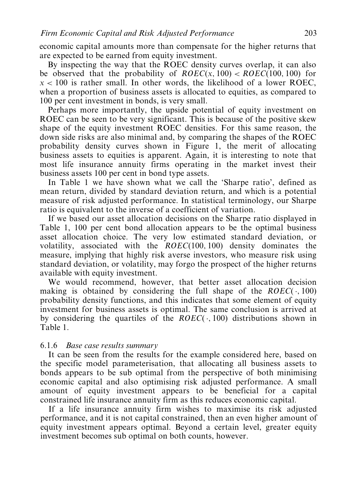economic capital amounts more than compensate for the higher returns that are expected to be earned from equity investment.

By inspecting the way that the ROEC density curves overlap, it can also be observed that the probability of  $ROEC(x, 100) < ROEC(100, 100)$  for  $x < 100$  is rather small. In other words, the likelihood of a lower ROEC, when a proportion of business assets is allocated to equities, as compared to 100 per cent investment in bonds, is very small.

Perhaps more importantly, the upside potential of equity investment on ROEC can be seen to be very significant. This is because of the positive skew shape of the equity investment ROEC densities. For this same reason, the down side risks are also minimal and, by comparing the shapes of the ROEC probability density curves shown in Figure 1, the merit of allocating business assets to equities is apparent. Again, it is interesting to note that most life insurance annuity firms operating in the market invest their business assets 100 per cent in bond type assets.

In Table 1 we have shown what we call the 'Sharpe ratio', defined as mean return, divided by standard deviation return, and which is a potential measure of risk adjusted performance. In statistical terminology, our Sharpe ratio is equivalent to the inverse of a coefficient of variation.

If we based our asset allocation decisions on the Sharpe ratio displayed in Table 1, 100 per cent bond allocation appears to be the optimal business asset allocation choice. The very low estimated standard deviation, or volatility, associated with the  $ROEC(100, 100)$  density dominates the measure, implying that highly risk averse investors, who measure risk using standard deviation, or volatility, may forgo the prospect of the higher returns available with equity investment.

We would recommend, however, that better asset allocation decision making is obtained by considering the full shape of the  $ROEC(\cdot, 100)$ probability density functions, and this indicates that some element of equity investment for business assets is optimal. The same conclusion is arrived at by considering the quartiles of the  $ROEC(·, 100)$  distributions shown in Table 1.

#### 6.1.6 Base case results summary

It can be seen from the results for the example considered here, based on the specific model parameterisation, that allocating all business assets to bonds appears to be sub optimal from the perspective of both minimising economic capital and also optimising risk adjusted performance. A small amount of equity investment appears to be beneficial for a capital constrained life insurance annuity firm as this reduces economic capital.

If a life insurance annuity firm wishes to maximise its risk adjusted performance, and it is not capital constrained, then an even higher amount of equity investment appears optimal. Beyond a certain level, greater equity investment becomes sub optimal on both counts, however.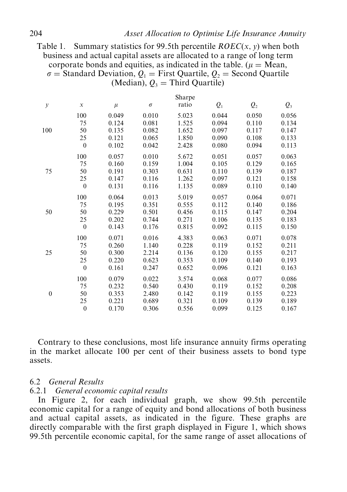Table 1. Summary statistics for 99.5th percentile  $ROEC(x, y)$  when both business and actual capital assets are allocated to a range of long term corporate bonds and equities, as indicated in the table. ( $\mu = \text{Mean}$ ,  $\sigma$  = Standard Deviation,  $Q_1$  = First Quartile,  $Q_2$  = Second Quartile (Median),  $Q_3$  = Third Quartile)

|              |                  |       |          | Sharpe |       |         |       |
|--------------|------------------|-------|----------|--------|-------|---------|-------|
| y            | $\boldsymbol{x}$ | $\mu$ | $\sigma$ | ratio  | $Q_1$ | $Q_{2}$ | $Q_3$ |
|              | 100              | 0.049 | 0.010    | 5.023  | 0.044 | 0.050   | 0.056 |
|              | 75               | 0.124 | 0.081    | 1.525  | 0.094 | 0.110   | 0.134 |
| 100          | 50               | 0.135 | 0.082    | 1.652  | 0.097 | 0.117   | 0.147 |
|              | 25               | 0.121 | 0.065    | 1.850  | 0.090 | 0.108   | 0.133 |
|              | $\mathbf{0}$     | 0.102 | 0.042    | 2.428  | 0.080 | 0.094   | 0.113 |
|              | 100              | 0.057 | 0.010    | 5.672  | 0.051 | 0.057   | 0.063 |
|              | 75               | 0.160 | 0.159    | 1.004  | 0.105 | 0.129   | 0.165 |
| 75           | 50               | 0.191 | 0.303    | 0.631  | 0.110 | 0.139   | 0.187 |
|              | 25               | 0.147 | 0.116    | 1.262  | 0.097 | 0.121   | 0.158 |
|              | $\boldsymbol{0}$ | 0.131 | 0.116    | 1.135  | 0.089 | 0.110   | 0.140 |
|              | 100              | 0.064 | 0.013    | 5.019  | 0.057 | 0.064   | 0.071 |
|              | 75               | 0.195 | 0.351    | 0.555  | 0.112 | 0.140   | 0.186 |
| 50           | 50               | 0.229 | 0.501    | 0.456  | 0.115 | 0.147   | 0.204 |
|              | 25               | 0.202 | 0.744    | 0.271  | 0.106 | 0.135   | 0.183 |
|              | $\mathbf{0}$     | 0.143 | 0.176    | 0.815  | 0.092 | 0.115   | 0.150 |
|              | 100              | 0.071 | 0.016    | 4.383  | 0.063 | 0.071   | 0.078 |
|              | 75               | 0.260 | 1.140    | 0.228  | 0.119 | 0.152   | 0.211 |
| 25           | 50               | 0.300 | 2.214    | 0.136  | 0.120 | 0.155   | 0.217 |
|              | 25               | 0.220 | 0.623    | 0.353  | 0.109 | 0.140   | 0.193 |
|              | $\mathbf{0}$     | 0.161 | 0.247    | 0.652  | 0.096 | 0.121   | 0.163 |
|              | 100              | 0.079 | 0.022    | 3.574  | 0.068 | 0.077   | 0.086 |
|              | 75               | 0.232 | 0.540    | 0.430  | 0.119 | 0.152   | 0.208 |
| $\mathbf{0}$ | 50               | 0.353 | 2.480    | 0.142  | 0.119 | 0.155   | 0.223 |
|              | 25               | 0.221 | 0.689    | 0.321  | 0.109 | 0.139   | 0.189 |
|              | $\mathbf{0}$     | 0.170 | 0.306    | 0.556  | 0.099 | 0.125   | 0.167 |

Contrary to these conclusions, most life insurance annuity firms operating in the market allocate 100 per cent of their business assets to bond type assets.

#### 6.2 General Results

#### 6.2.1 General economic capital results

In Figure 2, for each individual graph, we show 99.5th percentile economic capital for a range of equity and bond allocations of both business and actual capital assets, as indicated in the figure. These graphs are directly comparable with the first graph displayed in Figure 1, which shows 99.5th percentile economic capital, for the same range of asset allocations of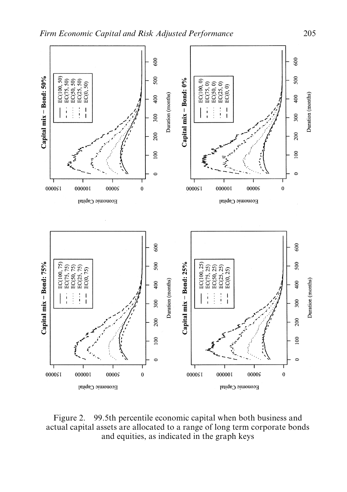

Figure 2. 99.5th percentile economic capital when both business and actual capital assets are allocated to a range of long term corporate bonds and equities, as indicated in the graph keys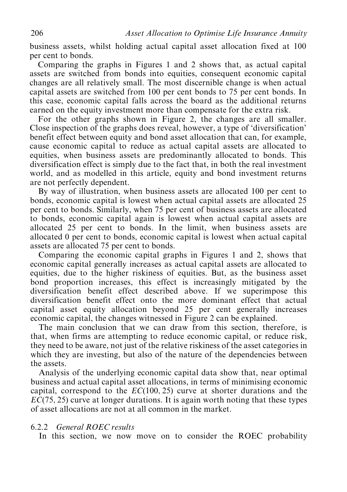business assets, whilst holding actual capital asset allocation fixed at 100 per cent to bonds.

Comparing the graphs in Figures 1 and 2 shows that, as actual capital assets are switched from bonds into equities, consequent economic capital changes are all relatively small. The most discernible change is when actual capital assets are switched from 100 per cent bonds to 75 per cent bonds. In this case, economic capital falls across the board as the additional returns earned on the equity investment more than compensate for the extra risk.

For the other graphs shown in Figure 2, the changes are all smaller. Close inspection of the graphs does reveal, however, a type of 'diversification' benefit effect between equity and bond asset allocation that can, for example, cause economic capital to reduce as actual capital assets are allocated to equities, when business assets are predominantly allocated to bonds. This diversification effect is simply due to the fact that, in both the real investment world, and as modelled in this article, equity and bond investment returns are not perfectly dependent.

By way of illustration, when business assets are allocated 100 per cent to bonds, economic capital is lowest when actual capital assets are allocated 25 per cent to bonds. Similarly, when 75 per cent of business assets are allocated to bonds, economic capital again is lowest when actual capital assets are allocated 25 per cent to bonds. In the limit, when business assets are allocated 0 per cent to bonds, economic capital is lowest when actual capital assets are allocated 75 per cent to bonds.

Comparing the economic capital graphs in Figures 1 and 2, shows that economic capital generally increases as actual capital assets are allocated to equities, due to the higher riskiness of equities. But, as the business asset bond proportion increases, this effect is increasingly mitigated by the diversification benefit effect described above. If we superimpose this diversification benefit effect onto the more dominant effect that actual capital asset equity allocation beyond 25 per cent generally increases economic capital, the changes witnessed in Figure 2 can be explained.

The main conclusion that we can draw from this section, therefore, is that, when firms are attempting to reduce economic capital, or reduce risk, they need to be aware, not just of the relative riskiness of the asset categories in which they are investing, but also of the nature of the dependencies between the assets.

Analysis of the underlying economic capital data show that, near optimal business and actual capital asset allocations, in terms of minimising economic capital, correspond to the  $EC(100, 25)$  curve at shorter durations and the  $EC(75, 25)$  curve at longer durations. It is again worth noting that these types of asset allocations are not at all common in the market.

#### 6.2.2 General ROEC results

In this section, we now move on to consider the ROEC probability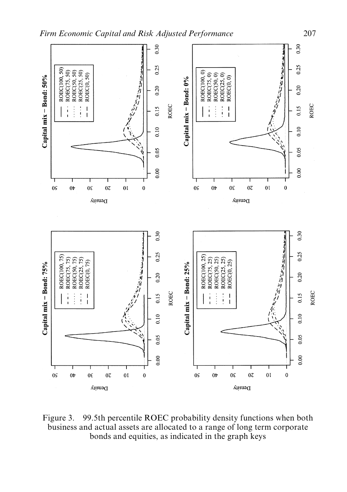

Figure 3. 99.5th percentile ROEC probability density functions when both business and actual assets are allocated to a range of long term corporate bonds and equities, as indicated in the graph keys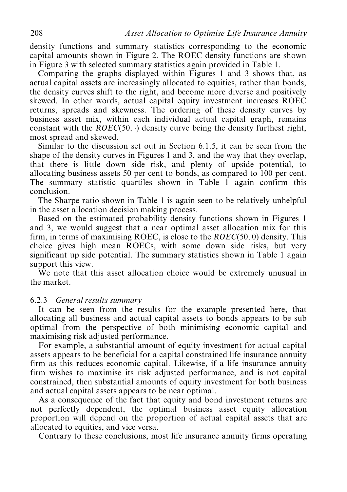density functions and summary statistics corresponding to the economic capital amounts shown in Figure 2. The ROEC density functions are shown in Figure 3 with selected summary statistics again provided in Table 1.

Comparing the graphs displayed within Figures 1 and 3 shows that, as actual capital assets are increasingly allocated to equities, rather than bonds, the density curves shift to the right, and become more diverse and positively skewed. In other words, actual capital equity investment increases ROEC returns, spreads and skewness. The ordering of these density curves by business asset mix, within each individual actual capital graph, remains constant with the  $ROEC(50, \cdot)$  density curve being the density furthest right, most spread and skewed.

Similar to the discussion set out in Section 6.1.5, it can be seen from the shape of the density curves in Figures 1 and 3, and the way that they overlap, that there is little down side risk, and plenty of upside potential, to allocating business assets 50 per cent to bonds, as compared to 100 per cent. The summary statistic quartiles shown in Table 1 again confirm this conclusion.

The Sharpe ratio shown in Table 1 is again seen to be relatively unhelpful in the asset allocation decision making process.

Based on the estimated probability density functions shown in Figures 1 and 3, we would suggest that a near optimal asset allocation mix for this firm, in terms of maximising ROEC, is close to the  $ROEC(50, 0)$  density. This choice gives high mean ROECs, with some down side risks, but very significant up side potential. The summary statistics shown in Table 1 again support this view.

We note that this asset allocation choice would be extremely unusual in the market.

#### 6.2.3 General results summary

It can be seen from the results for the example presented here, that allocating all business and actual capital assets to bonds appears to be sub optimal from the perspective of both minimising economic capital and maximising risk adjusted performance.

For example, a substantial amount of equity investment for actual capital assets appears to be beneficial for a capital constrained life insurance annuity firm as this reduces economic capital. Likewise, if a life insurance annuity firm wishes to maximise its risk adjusted performance, and is not capital constrained, then substantial amounts of equity investment for both business and actual capital assets appears to be near optimal.

As a consequence of the fact that equity and bond investment returns are not perfectly dependent, the optimal business asset equity allocation proportion will depend on the proportion of actual capital assets that are allocated to equities, and vice versa.

Contrary to these conclusions, most life insurance annuity firms operating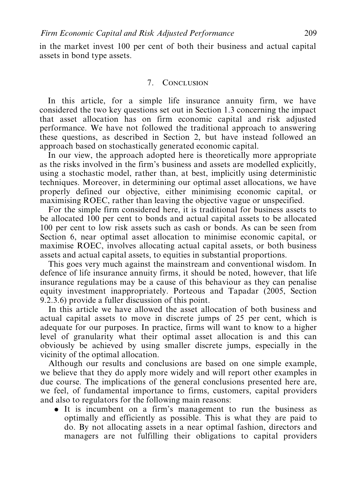in the market invest 100 per cent of both their business and actual capital assets in bond type assets.

#### 7. CONCLUSION

In this article, for a simple life insurance annuity firm, we have considered the two key questions set out in Section 1.3 concerning the impact that asset allocation has on firm economic capital and risk adjusted performance. We have not followed the traditional approach to answering these questions, as described in Section 2, but have instead followed an approach based on stochastically generated economic capital.

In our view, the approach adopted here is theoretically more appropriate as the risks involved in the firm's business and assets are modelled explicitly, using a stochastic model, rather than, at best, implicitly using deterministic techniques. Moreover, in determining our optimal asset allocations, we have properly defined our objective, either minimising economic capital, or maximising ROEC, rather than leaving the objective vague or unspecified.

For the simple firm considered here, it is traditional for business assets to be allocated 100 per cent to bonds and actual capital assets to be allocated 100 per cent to low risk assets such as cash or bonds. As can be seen from Section 6, near optimal asset allocation to minimise economic capital, or maximise ROEC, involves allocating actual capital assets, or both business assets and actual capital assets, to equities in substantial proportions.

This goes very much against the mainstream and conventional wisdom. In defence of life insurance annuity firms, it should be noted, however, that life insurance regulations may be a cause of this behaviour as they can penalise equity investment inappropriately. Porteous and Tapadar (2005, Section 9.2.3.6) provide a fuller discussion of this point.

In this article we have allowed the asset allocation of both business and actual capital assets to move in discrete jumps of 25 per cent, which is adequate for our purposes. In practice, firms will want to know to a higher level of granularity what their optimal asset allocation is and this can obviously be achieved by using smaller discrete jumps, especially in the vicinity of the optimal allocation.

Although our results and conclusions are based on one simple example, we believe that they do apply more widely and will report other examples in due course. The implications of the general conclusions presented here are, we feel, of fundamental importance to firms, customers, capital providers and also to regulators for the following main reasons:

. It is incumbent on a firm's management to run the business as optimally and efficiently as possible. This is what they are paid to do. By not allocating assets in a near optimal fashion, directors and managers are not fulfilling their obligations to capital providers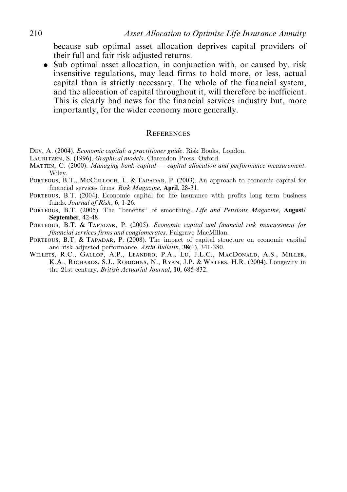because sub optimal asset allocation deprives capital providers of their full and fair risk adjusted returns.

. Sub optimal asset allocation, in conjunction with, or caused by, risk insensitive regulations, may lead firms to hold more, or less, actual capital than is strictly necessary. The whole of the financial system, and the allocation of capital throughout it, will therefore be inefficient. This is clearly bad news for the financial services industry but, more importantly, for the wider economy more generally.

#### **REFERENCES**

DEV, A. (2004). *Economic capital: a practitioner guide*. Risk Books, London.

- LAURITZEN, S. (1996). Graphical models. Clarendon Press, Oxford.
- MATTEN, C. (2000). Managing bank capital capital allocation and performance measurement. Wiley.
- PORTEOUS, B.T., MCCULLOCH, L. & TAPADAR, P. (2003). An approach to economic capital for financial services firms. Risk Magazine, April, 28-31.
- Porteous, B.T. (2004). Economic capital for life insurance with profits long term business funds. Journal of Risk, 6, 1-26.
- PORTEOUS, B.T. (2005). The "benefits" of smoothing. Life and Pensions Magazine, August/ September, 42-48.
- PORTEOUS, B.T. & TAPADAR, P. (2005). Economic capital and financial risk management for financial services firms and conglomerates. Palgrave MacMillan.
- PORTEOUS, B.T.  $&$  TAPADAR, P. (2008). The impact of capital structure on economic capital and risk adjusted performance. Astin Bulletin, 38(1), 341-380.
- Willets, R.C., Gallop, A.P., Leandro, P.A., Lu, J.L.C., MacDonald, A.S., Miller, K.A., Richards, S.J., Robjohns, N., Ryan, J.P. & Waters, H.R. (2004). Longevity in the 21st century. British Actuarial Journal, 10, 685-832.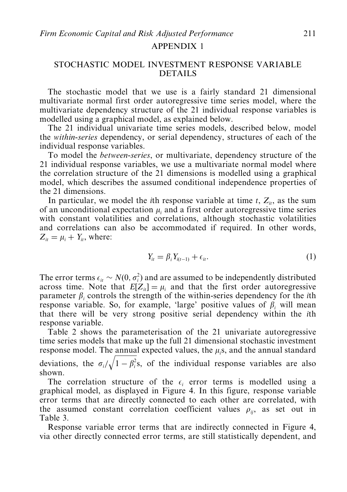#### APPENDIX 1

#### STOCHASTIC MODEL INVESTMENT RESPONSE VARIABLE DETAILS

The stochastic model that we use is a fairly standard 21 dimensional multivariate normal first order autoregressive time series model, where the multivariate dependency structure of the 21 individual response variables is modelled using a graphical model, as explained below.

The 21 individual univariate time series models, described below, model the within-series dependency, or serial dependency, structures of each of the individual response variables.

To model the between-series, or multivariate, dependency structure of the 21 individual response variables, we use a multivariate normal model where the correlation structure of the 21 dimensions is modelled using a graphical model, which describes the assumed conditional independence properties of the 21 dimensions.

In particular, we model the *i*th response variable at time  $t$ ,  $Z_{it}$ , as the sum of an unconditional expectation  $\mu_i$  and a first order autoregressive time series with constant volatilities and correlations, although stochastic volatilities and correlations can also be accommodated if required. In other words,  $Z_{it} = \mu_i + Y_{it}$ , where:

$$
Y_{it} = \beta_i Y_{i(t-1)} + \epsilon_{it}.
$$
\n<sup>(1)</sup>

The error terms  $\epsilon_{it} \sim N(0, \sigma_i^2)$  and are assumed to be independently distributed across time. Note that  $E[\mathbf{Z}_{it}] = \mu_i$  and that the first order autoregressive parameter  $\beta_i$  controls the strength of the within-series dependency for the *i*th response variable. So, for example, 'large' positive values of  $\beta_i$  will mean that there will be very strong positive serial dependency within the ith response variable.

Table 2 shows the parameterisation of the 21 univariate autoregressive time series models that make up the full 21 dimensional stochastic investment response model. The annual expected values, the  $\mu_i$ s, and the annual standard deviations, the  $\sigma_i/\sqrt{1-\beta_i^2}$ s, of the individual response variables are also shown.

The correlation structure of the  $\epsilon_i$  error terms is modelled using a graphical model, as displayed in Figure 4. In this figure, response variable error terms that are directly connected to each other are correlated, with the assumed constant correlation coefficient values  $\rho_{ii}$ , as set out in Table 3.

Response variable error terms that are indirectly connected in Figure 4, via other directly connected error terms, are still statistically dependent, and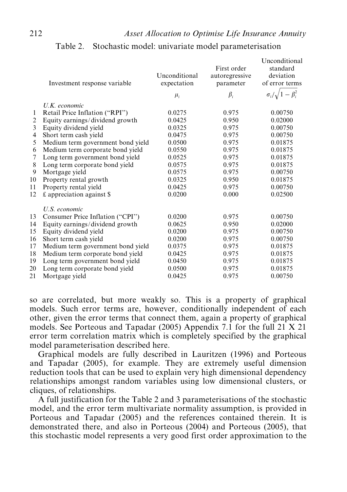| Table 2. Stochastic model: univariate model parameterisation |  |  |  |  |
|--------------------------------------------------------------|--|--|--|--|
|--------------------------------------------------------------|--|--|--|--|

|                | Investment response variable      | Unconditional<br>expectation<br>$\mu_i$ | First order<br>autoregressive<br>parameter<br>$\beta_i$ | Unconditional<br>standard<br>deviation<br>of error terms<br>$\sigma_i/\sqrt{1-\beta_i^2}$ |
|----------------|-----------------------------------|-----------------------------------------|---------------------------------------------------------|-------------------------------------------------------------------------------------------|
|                | $U.K.$ economic                   |                                         |                                                         |                                                                                           |
| 1              | Retail Price Inflation ("RPI")    | 0.0275                                  | 0.975                                                   | 0.00750                                                                                   |
| $\overline{2}$ | Equity earnings/dividend growth   | 0.0425                                  | 0.950                                                   | 0.02000                                                                                   |
| 3              | Equity dividend yield             | 0.0325                                  | 0.975                                                   | 0.00750                                                                                   |
| 4              | Short term cash yield             | 0.0475                                  | 0.975                                                   | 0.00750                                                                                   |
| 5              | Medium term government bond yield | 0.0500                                  | 0.975                                                   | 0.01875                                                                                   |
| 6              | Medium term corporate bond yield  | 0.0550                                  | 0.975                                                   | 0.01875                                                                                   |
| 7              | Long term government bond yield   | 0.0525                                  | 0.975                                                   | 0.01875                                                                                   |
| 8              | Long term corporate bond yield    | 0.0575                                  | 0.975                                                   | 0.01875                                                                                   |
| 9              | Mortgage yield                    | 0.0575                                  | 0.975                                                   | 0.00750                                                                                   |
| 10             | Property rental growth            | 0.0325                                  | 0.950                                                   | 0.01875                                                                                   |
| 11             | Property rental yield             | 0.0425                                  | 0.975                                                   | 0.00750                                                                                   |
| 12             | $\pounds$ appreciation against \$ | 0.0200                                  | 0.000                                                   | 0.02500                                                                                   |
|                |                                   |                                         |                                                         |                                                                                           |
|                | U.S. economic                     |                                         |                                                         |                                                                                           |
| 13             | Consumer Price Inflation ("CPI")  | 0.0200                                  | 0.975                                                   | 0.00750                                                                                   |
| 14             | Equity earnings/dividend growth   | 0.0625                                  | 0.950                                                   | 0.02000                                                                                   |
| 15             | Equity dividend yield             | 0.0200                                  | 0.975                                                   | 0.00750                                                                                   |
| 16             | Short term cash yield             | 0.0200                                  | 0.975                                                   | 0.00750                                                                                   |
| 17             | Medium term government bond yield | 0.0375                                  | 0.975                                                   | 0.01875                                                                                   |
| 18             | Medium term corporate bond yield  | 0.0425                                  | 0.975                                                   | 0.01875                                                                                   |
| 19             | Long term government bond yield   | 0.0450                                  | 0.975                                                   | 0.01875                                                                                   |
| 20             | Long term corporate bond yield    | 0.0500                                  | 0.975                                                   | 0.01875                                                                                   |
| 21             | Mortgage yield                    | 0.0425                                  | 0.975                                                   | 0.00750                                                                                   |
|                |                                   |                                         |                                                         |                                                                                           |

so are correlated, but more weakly so. This is a property of graphical models. Such error terms are, however, conditionally independent of each other, given the error terms that connect them, again a property of graphical models. See Porteous and Tapadar (2005) Appendix 7.1 for the full 21 X 21 error term correlation matrix which is completely specified by the graphical model parameterisation described here.

Graphical models are fully described in Lauritzen (1996) and Porteous and Tapadar (2005), for example. They are extremely useful dimension reduction tools that can be used to explain very high dimensional dependency relationships amongst random variables using low dimensional clusters, or cliques, of relationships.

A full justification for the Table 2 and 3 parameterisations of the stochastic model, and the error term multivariate normality assumption, is provided in Porteous and Tapadar (2005) and the references contained therein. It is demonstrated there, and also in Porteous (2004) and Porteous (2005), that this stochastic model represents a very good first order approximation to the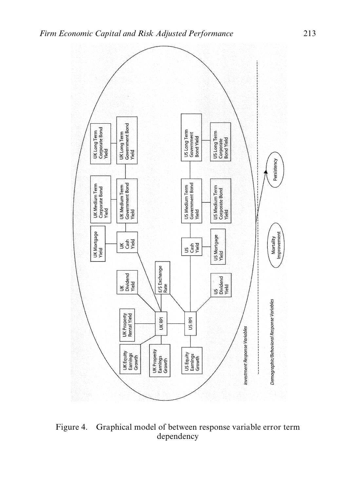

Figure 4. Graphical model of between response variable error term dependency